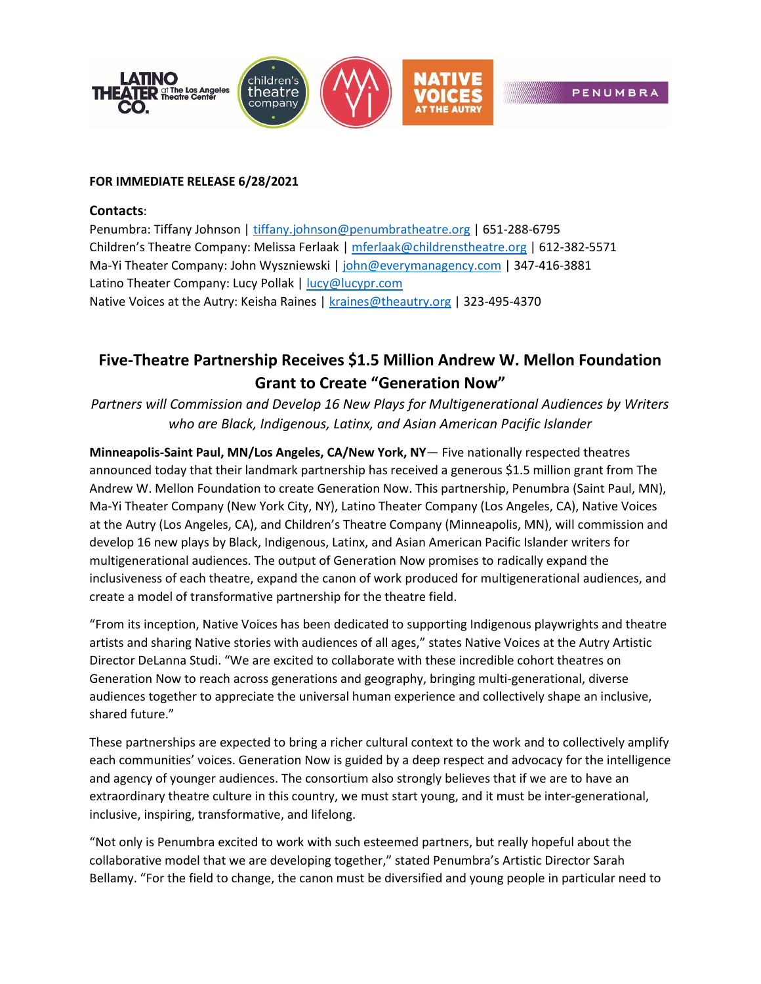

## **FOR IMMEDIATE RELEASE 6/28/2021**

### **Contacts**:

Penumbra: Tiffany Johnson [| tiffany.johnson@penumbratheatre.org](mailto:tiffany.johnson@penumbratheatre.org) | 651-288-6795 Children's Theatre Company: Melissa Ferlaak | [mferlaak@childrenstheatre.org](mailto:mferlaak@childrenstheatre.org) | 612-382-5571 Ma-Yi Theater Company: John Wyszniewski [| john@everymanagency.com](mailto:john@everymanagency.com) | 347-416-3881 Latino Theater Company: Lucy Pollak [| lucy@lucypr.com](mailto:lucy@lucypr.com) Native Voices at the Autry: Keisha Raines | [kraines@theautry.org](mailto:kraines@theautry.org) | 323-495-4370

# **Five-Theatre Partnership Receives \$1.5 Million Andrew W. Mellon Foundation Grant to Create "Generation Now"**

*Partners will Commission and Develop 16 New Plays for Multigenerational Audiences by Writers who are Black, Indigenous, Latinx, and Asian American Pacific Islander*

**Minneapolis-Saint Paul, MN/Los Angeles, CA/New York, NY**— Five nationally respected theatres announced today that their landmark partnership has received a generous \$1.5 million grant from The Andrew W. Mellon Foundation to create Generation Now. This partnership, Penumbra (Saint Paul, MN), Ma-Yi Theater Company (New York City, NY), Latino Theater Company (Los Angeles, CA), Native Voices at the Autry (Los Angeles, CA), and Children's Theatre Company (Minneapolis, MN), will commission and develop 16 new plays by Black, Indigenous, Latinx, and Asian American Pacific Islander writers for multigenerational audiences. The output of Generation Now promises to radically expand the inclusiveness of each theatre, expand the canon of work produced for multigenerational audiences, and create a model of transformative partnership for the theatre field.

"From its inception, Native Voices has been dedicated to supporting Indigenous playwrights and theatre artists and sharing Native stories with audiences of all ages," states Native Voices at the Autry Artistic Director DeLanna Studi. "We are excited to collaborate with these incredible cohort theatres on Generation Now to reach across generations and geography, bringing multi-generational, diverse audiences together to appreciate the universal human experience and collectively shape an inclusive, shared future."

These partnerships are expected to bring a richer cultural context to the work and to collectively amplify each communities' voices. Generation Now is guided by a deep respect and advocacy for the intelligence and agency of younger audiences. The consortium also strongly believes that if we are to have an extraordinary theatre culture in this country, we must start young, and it must be inter‐generational, inclusive, inspiring, transformative, and lifelong.

"Not only is Penumbra excited to work with such esteemed partners, but really hopeful about the collaborative model that we are developing together," stated Penumbra's Artistic Director Sarah Bellamy. "For the field to change, the canon must be diversified and young people in particular need to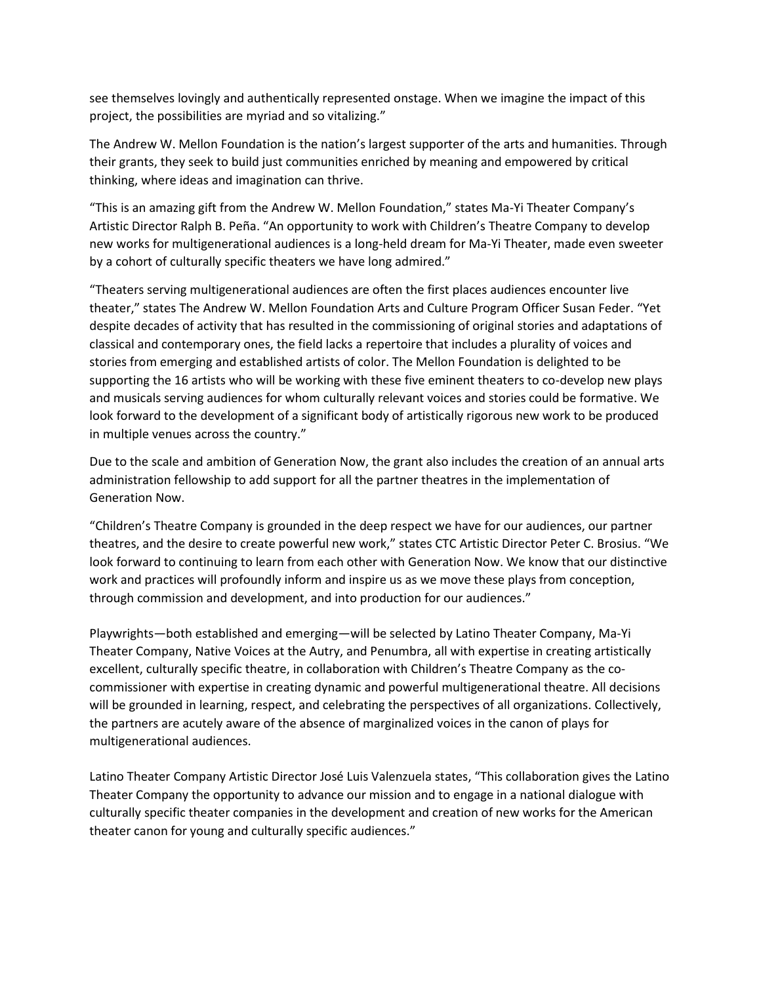see themselves lovingly and authentically represented onstage. When we imagine the impact of this project, the possibilities are myriad and so vitalizing."

The Andrew W. Mellon Foundation is the nation's largest supporter of the arts and humanities. Through their grants, they seek to build just communities enriched by meaning and empowered by critical thinking, where ideas and imagination can thrive.

"This is an amazing gift from the Andrew W. Mellon Foundation," states Ma-Yi Theater Company's Artistic Director Ralph B. Peña. "An opportunity to work with Children's Theatre Company to develop new works for multigenerational audiences is a long-held dream for Ma-Yi Theater, made even sweeter by a cohort of culturally specific theaters we have long admired."

"Theaters serving multigenerational audiences are often the first places audiences encounter live theater," states The Andrew W. Mellon Foundation Arts and Culture Program Officer Susan Feder. "Yet despite decades of activity that has resulted in the commissioning of original stories and adaptations of classical and contemporary ones, the field lacks a repertoire that includes a plurality of voices and stories from emerging and established artists of color. The Mellon Foundation is delighted to be supporting the 16 artists who will be working with these five eminent theaters to co-develop new plays and musicals serving audiences for whom culturally relevant voices and stories could be formative. We look forward to the development of a significant body of artistically rigorous new work to be produced in multiple venues across the country."

Due to the scale and ambition of Generation Now, the grant also includes the creation of an annual arts administration fellowship to add support for all the partner theatres in the implementation of Generation Now.

"Children's Theatre Company is grounded in the deep respect we have for our audiences, our partner theatres, and the desire to create powerful new work," states CTC Artistic Director Peter C. Brosius. "We look forward to continuing to learn from each other with Generation Now. We know that our distinctive work and practices will profoundly inform and inspire us as we move these plays from conception, through commission and development, and into production for our audiences."

Playwrights—both established and emerging—will be selected by Latino Theater Company, Ma‐Yi Theater Company, Native Voices at the Autry, and Penumbra, all with expertise in creating artistically excellent, culturally specific theatre, in collaboration with Children's Theatre Company as the cocommissioner with expertise in creating dynamic and powerful multigenerational theatre. All decisions will be grounded in learning, respect, and celebrating the perspectives of all organizations. Collectively, the partners are acutely aware of the absence of marginalized voices in the canon of plays for multigenerational audiences.

Latino Theater Company Artistic Director José Luis Valenzuela states, "This collaboration gives the Latino Theater Company the opportunity to advance our mission and to engage in a national dialogue with culturally specific theater companies in the development and creation of new works for the American theater canon for young and culturally specific audiences."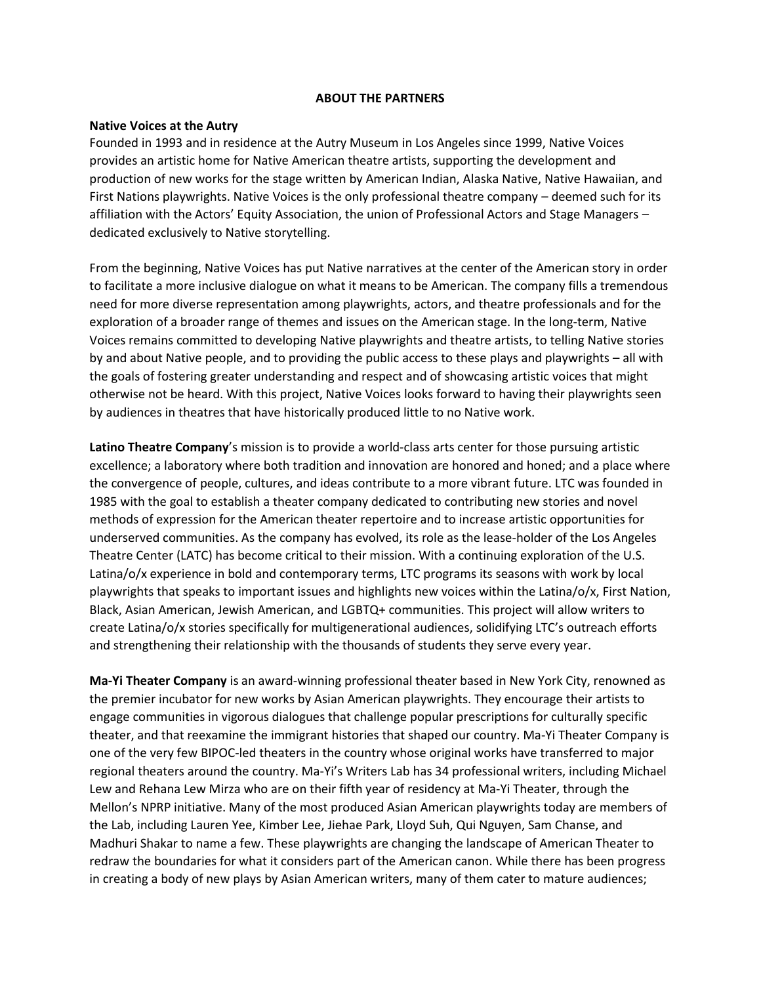### **ABOUT THE PARTNERS**

### **Native Voices at the Autry**

Founded in 1993 and in residence at the Autry Museum in Los Angeles since 1999, Native Voices provides an artistic home for Native American theatre artists, supporting the development and production of new works for the stage written by American Indian, Alaska Native, Native Hawaiian, and First Nations playwrights. Native Voices is the only professional theatre company – deemed such for its affiliation with the Actors' Equity Association, the union of Professional Actors and Stage Managers – dedicated exclusively to Native storytelling.

From the beginning, Native Voices has put Native narratives at the center of the American story in order to facilitate a more inclusive dialogue on what it means to be American. The company fills a tremendous need for more diverse representation among playwrights, actors, and theatre professionals and for the exploration of a broader range of themes and issues on the American stage. In the long-term, Native Voices remains committed to developing Native playwrights and theatre artists, to telling Native stories by and about Native people, and to providing the public access to these plays and playwrights – all with the goals of fostering greater understanding and respect and of showcasing artistic voices that might otherwise not be heard. With this project, Native Voices looks forward to having their playwrights seen by audiences in theatres that have historically produced little to no Native work.

**Latino Theatre Company**'s mission is to provide a world‐class arts center for those pursuing artistic excellence; a laboratory where both tradition and innovation are honored and honed; and a place where the convergence of people, cultures, and ideas contribute to a more vibrant future. LTC was founded in 1985 with the goal to establish a theater company dedicated to contributing new stories and novel methods of expression for the American theater repertoire and to increase artistic opportunities for underserved communities. As the company has evolved, its role as the lease‐holder of the Los Angeles Theatre Center (LATC) has become critical to their mission. With a continuing exploration of the U.S. Latina/o/x experience in bold and contemporary terms, LTC programs its seasons with work by local playwrights that speaks to important issues and highlights new voices within the Latina/o/x, First Nation, Black, Asian American, Jewish American, and LGBTQ+ communities. This project will allow writers to create Latina/o/x stories specifically for multigenerational audiences, solidifying LTC's outreach efforts and strengthening their relationship with the thousands of students they serve every year.

**Ma‐Yi Theater Company** is an award‐winning professional theater based in New York City, renowned as the premier incubator for new works by Asian American playwrights. They encourage their artists to engage communities in vigorous dialogues that challenge popular prescriptions for culturally specific theater, and that reexamine the immigrant histories that shaped our country. Ma‐Yi Theater Company is one of the very few BIPOC‐led theaters in the country whose original works have transferred to major regional theaters around the country. Ma‐Yi's Writers Lab has 34 professional writers, including Michael Lew and Rehana Lew Mirza who are on their fifth year of residency at Ma‐Yi Theater, through the Mellon's NPRP initiative. Many of the most produced Asian American playwrights today are members of the Lab, including Lauren Yee, Kimber Lee, Jiehae Park, Lloyd Suh, Qui Nguyen, Sam Chanse, and Madhuri Shakar to name a few. These playwrights are changing the landscape of American Theater to redraw the boundaries for what it considers part of the American canon. While there has been progress in creating a body of new plays by Asian American writers, many of them cater to mature audiences;